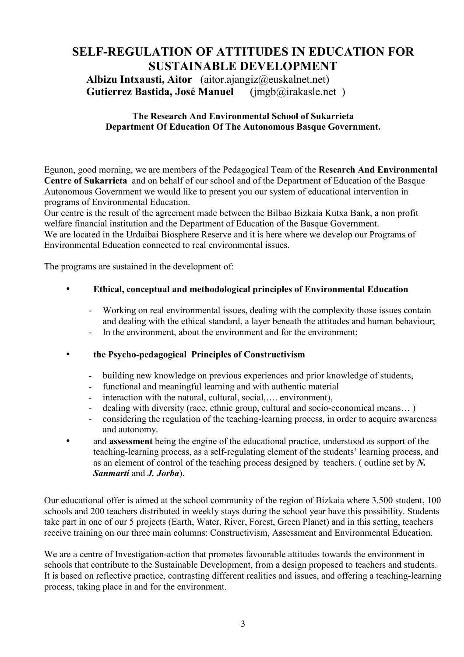# **SELF-REGULATION OF ATTITUDES IN EDUCATION FOR SUSTAINABLE DEVELOPMENT**

**Albizu Intxausti, Aitor** (aitor.ajangiz@euskalnet.net) **Gutierrez Bastida, José Manuel** (jmgb@irakasle.net )

#### **The Research And Environmental School of Sukarrieta Department Of Education Of The Autonomous Basque Government.**

Egunon, good morning, we are members of the Pedagogical Team of the **Research And Environmental Centre of Sukarrieta** and on behalf of our school and of the Department of Education of the Basque Autonomous Government we would like to present you our system of educational intervention in programs of Environmental Education.

Our centre is the result of the agreement made between the Bilbao Bizkaia Kutxa Bank, a non profit welfare financial institution and the Department of Education of the Basque Government. We are located in the Urdaibai Biosphere Reserve and it is here where we develop our Programs of Environmental Education connected to real environmental issues.

The programs are sustained in the development of:

#### • **Ethical, conceptual and methodological principles of Environmental Education**

- Working on real environmental issues, dealing with the complexity those issues contain and dealing with the ethical standard, a layer beneath the attitudes and human behaviour;
- In the environment, about the environment and for the environment;

#### • **the Psycho-pedagogical Principles of Constructivism**

- building new knowledge on previous experiences and prior knowledge of students,
- functional and meaningful learning and with authentic material
- interaction with the natural, cultural, social,..., environment).
- dealing with diversity (race, ethnic group, cultural and socio-economical means...)
- considering the regulation of the teaching-learning process, in order to acquire awareness and autonomy.
- and **assessment** being the engine of the educational practice, understood as support of the teaching-learning process, as a self-regulating element of the students' learning process, and as an element of control of the teaching process designed by teachers. ( outline set by *N. Sanmartí* and *J. Jorba*).

Our educational offer is aimed at the school community of the region of Bizkaia where 3.500 student, 100 schools and 200 teachers distributed in weekly stays during the school year have this possibility. Students take part in one of our 5 projects (Earth, Water, River, Forest, Green Planet) and in this setting, teachers receive training on our three main columns: Constructivism, Assessment and Environmental Education.

We are a centre of Investigation-action that promotes favourable attitudes towards the environment in schools that contribute to the Sustainable Development, from a design proposed to teachers and students. It is based on reflective practice, contrasting different realities and issues, and offering a teaching-learning process, taking place in and for the environment.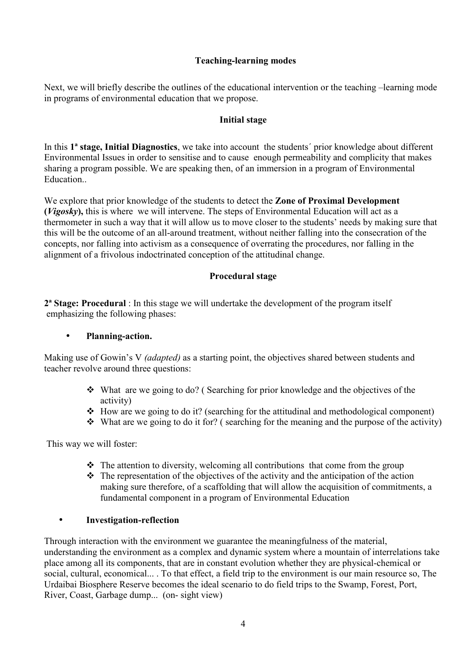### **Teaching-learning modes**

Next, we will briefly describe the outlines of the educational intervention or the teaching –learning mode in programs of environmental education that we propose.

#### **Initial stage**

In this **1ª stage, Initial Diagnostics**, we take into account the students´ prior knowledge about different Environmental Issues in order to sensitise and to cause enough permeability and complicity that makes sharing a program possible. We are speaking then, of an immersion in a program of Environmental Education..

We explore that prior knowledge of the students to detect the **Zone of Proximal Development (***Vigosky***),** this is where we will intervene. The steps of Environmental Education will act as a thermometer in such a way that it will allow us to move closer to the students' needs by making sure that this will be the outcome of an all-around treatment, without neither falling into the consecration of the concepts, nor falling into activism as a consequence of overrating the procedures, nor falling in the alignment of a frivolous indoctrinated conception of the attitudinal change.

## **Procedural stage**

**2ª Stage: Procedural** : In this stage we will undertake the development of the program itself emphasizing the following phases:

#### • **Planning-action.**

Making use of Gowin's V *(adapted)* as a starting point, the objectives shared between students and teacher revolve around three questions:

- $\triangle$  What are we going to do? (Searching for prior knowledge and the objectives of the activity)
- $\cdot$  How are we going to do it? (searching for the attitudinal and methodological component)
- $\cdot$  What are we going to do it for? (searching for the meaning and the purpose of the activity)

This way we will foster:

- $\triangle$  The attention to diversity, welcoming all contributions that come from the group
- $\cdot \cdot$  The representation of the objectives of the activity and the anticipation of the action making sure therefore, of a scaffolding that will allow the acquisition of commitments, a fundamental component in a program of Environmental Education

#### • **Investigation-reflection**

Through interaction with the environment we guarantee the meaningfulness of the material, understanding the environment as a complex and dynamic system where a mountain of interrelations take place among all its components, that are in constant evolution whether they are physical-chemical or social, cultural, economical... . To that effect, a field trip to the environment is our main resource so, The Urdaibai Biosphere Reserve becomes the ideal scenario to do field trips to the Swamp, Forest, Port, River, Coast, Garbage dump... (on- sight view)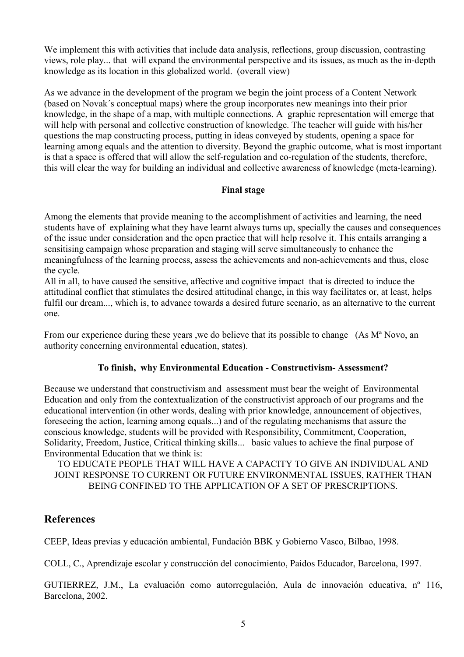We implement this with activities that include data analysis, reflections, group discussion, contrasting views, role play... that will expand the environmental perspective and its issues, as much as the in-depth knowledge as its location in this globalized world. (overall view)

As we advance in the development of the program we begin the joint process of a Content Network (based on Novak´s conceptual maps) where the group incorporates new meanings into their prior knowledge, in the shape of a map, with multiple connections. A graphic representation will emerge that will help with personal and collective construction of knowledge. The teacher will guide with his/her questions the map constructing process, putting in ideas conveyed by students, opening a space for learning among equals and the attention to diversity. Beyond the graphic outcome, what is most important is that a space is offered that will allow the self-regulation and co-regulation of the students, therefore, this will clear the way for building an individual and collective awareness of knowledge (meta-learning).

#### **Final stage**

Among the elements that provide meaning to the accomplishment of activities and learning, the need students have of explaining what they have learnt always turns up, specially the causes and consequences of the issue under consideration and the open practice that will help resolve it. This entails arranging a sensitising campaign whose preparation and staging will serve simultaneously to enhance the meaningfulness of the learning process, assess the achievements and non-achievements and thus, close the cycle.

All in all, to have caused the sensitive, affective and cognitive impact that is directed to induce the attitudinal conflict that stimulates the desired attitudinal change, in this way facilitates or, at least, helps fulfil our dream..., which is, to advance towards a desired future scenario, as an alternative to the current one.

From our experience during these years , we do believe that its possible to change  $(As M<sup>a</sup> Novo, an$ authority concerning environmental education, states).

#### **To finish, why Environmental Education - Constructivism- Assessment?**

Because we understand that constructivism and assessment must bear the weight of Environmental Education and only from the contextualization of the constructivist approach of our programs and the educational intervention (in other words, dealing with prior knowledge, announcement of objectives, foreseeing the action, learning among equals...) and of the regulating mechanisms that assure the conscious knowledge, students will be provided with Responsibility, Commitment, Cooperation, Solidarity, Freedom, Justice, Critical thinking skills... basic values to achieve the final purpose of Environmental Education that we think is:

#### TO EDUCATE PEOPLE THAT WILL HAVE A CAPACITY TO GIVE AN INDIVIDUAL AND JOINT RESPONSE TO CURRENT OR FUTURE ENVIRONMENTAL ISSUES, RATHER THAN BEING CONFINED TO THE APPLICATION OF A SET OF PRESCRIPTIONS.

# **References**

CEEP, Ideas previas y educación ambiental, Fundación BBK y Gobierno Vasco, Bilbao, 1998.

COLL, C., Aprendizaje escolar y construcción del conocimiento, Paidos Educador, Barcelona, 1997.

GUTIERREZ, J.M., La evaluación como autorregulación, Aula de innovación educativa, nº 116, Barcelona, 2002.